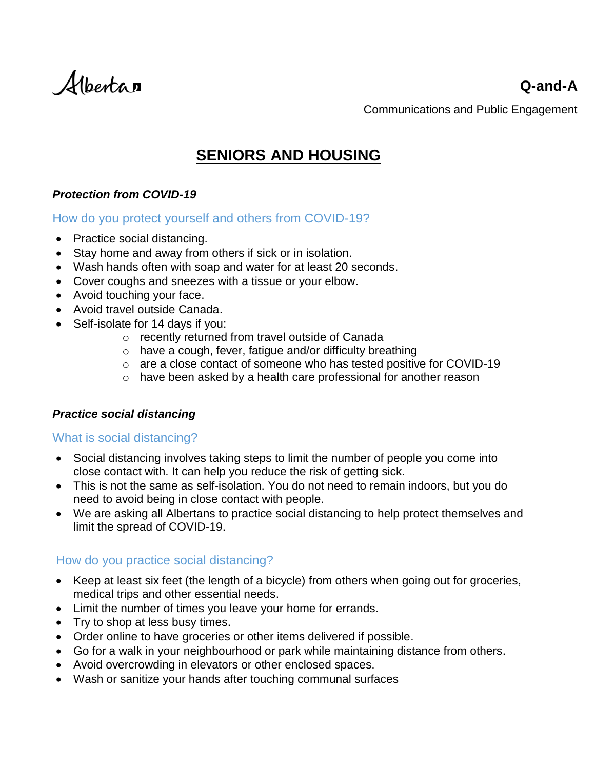Albertan

Communications and Public Engagement

# **SENIORS AND HOUSING**

# *Protection from COVID-19*

How do you protect yourself and others from COVID-19?

- Practice [social distancing.](https://www.alberta.ca/prevent-the-spread.aspx#p25621s3)
- Stay home and away from others if sick or in isolation.
- Wash hands often with soap and water for at least 20 seconds.
- Cover coughs and sneezes with a tissue or your elbow.
- Avoid touching your face.
- Avoid travel outside Canada.
- [Self-isolate](https://www.alberta.ca/self-isolation.aspx) for 14 days if you:
	- o recently returned from travel outside of Canada
	- o have a cough, fever, fatigue and/or difficulty breathing
	- o are a close contact of someone who has tested positive for COVID-19
	- o have been asked by a health care professional for another reason

## *Practice social distancing*

## What is social distancing?

- Social distancing involves taking steps to limit the number of people you come into close contact with. It can help you reduce the risk of getting sick.
- This is not the same as [self-isolation.](https://www.alberta.ca/self-isolation.aspx) You do not need to remain indoors, but you do need to avoid being in close contact with people.
- We are asking all Albertans to practice social distancing to help protect themselves and limit the spread of COVID-19.

# How do you practice social distancing?

- Keep at least six feet (the length of a bicycle) from others when going out for groceries, medical trips and other essential needs.
- Limit the number of times you leave your home for errands.
- Try to shop at less busy times.
- Order online to have groceries or other items delivered if possible.
- Go for a walk in your neighbourhood or park while maintaining distance from others.
- Avoid overcrowding in elevators or other enclosed spaces.
- Wash or sanitize your hands after touching communal surfaces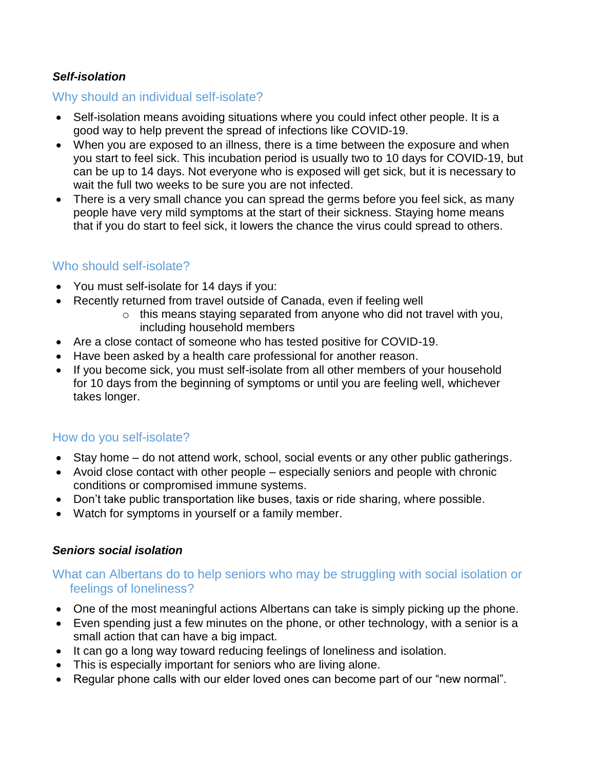# *Self-isolation*

# Why should an individual self-isolate?

- Self-isolation means avoiding situations where you could infect other people. It is a good way to [help prevent the spread](https://www.alberta.ca/prevent-the-spread.aspx) of infections like COVID-19.
- When you are exposed to an illness, there is a time between the exposure and when you start to feel sick. This incubation period is usually two to 10 days for COVID-19, but can be up to 14 days. Not everyone who is exposed will get sick, but it is necessary to wait the full two weeks to be sure you are not infected.
- There is a very small chance you can spread the germs before you feel sick, as many people have very mild symptoms at the start of their sickness. Staying home means that if you do start to feel sick, it lowers the chance the virus could spread to others.

# Who should self-isolate?

- You must self-isolate for 14 days if you:
- Recently returned from travel outside of Canada, even if feeling well
	- $\circ$  this means staying separated from anyone who did not travel with you, including household members
- Are a close contact of someone who has tested positive for COVID-19.
- Have been asked by a health care professional for another reason.
- If you become sick, you must self-isolate from all other members of your household for 10 days from the beginning of symptoms or until you are feeling well, whichever takes longer.

# How do you self-isolate?

- Stay home do not attend work, school, social events or any other public gatherings.
- Avoid close contact with other people especially seniors and people with chronic conditions or compromised immune systems.
- Don't take public transportation like buses, taxis or ride sharing, where possible.
- Watch for symptoms in yourself or a family member.

## *Seniors social isolation*

## What can Albertans do to help seniors who may be struggling with social isolation or feelings of loneliness?

- One of the most meaningful actions Albertans can take is simply picking up the phone.
- Even spending just a few minutes on the phone, or other technology, with a senior is a small action that can have a big impact.
- It can go a long way toward reducing feelings of loneliness and isolation.
- This is especially important for seniors who are living alone.
- Regular phone calls with our elder loved ones can become part of our "new normal".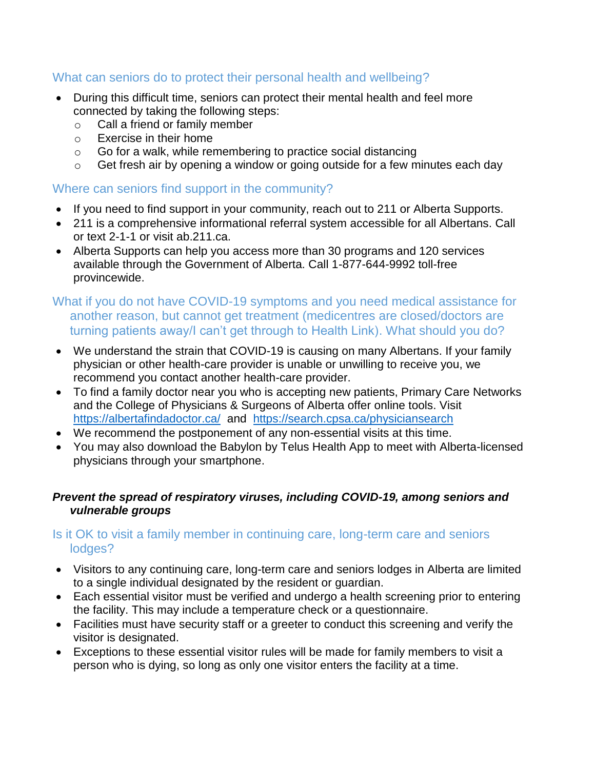# What can seniors do to protect their personal health and wellbeing?

- During this difficult time, seniors can protect their mental health and feel more connected by taking the following steps:
	- o Call a friend or family member
	- o Exercise in their home
	- $\circ$  Go for a walk, while remembering to practice social distancing
	- $\circ$  Get fresh air by opening a window or going outside for a few minutes each day

## Where can seniors find support in the community?

- If you need to find support in your community, reach out to 211 or Alberta Supports.
- 211 is a comprehensive informational referral system accessible for all Albertans. Call or text 2-1-1 or visit ab.211.ca.
- Alberta Supports can help you access more than 30 programs and 120 services available through the Government of Alberta. Call 1-877-644-9992 toll-free provincewide.

# What if you do not have COVID-19 symptoms and you need medical assistance for another reason, but cannot get treatment (medicentres are closed/doctors are turning patients away/I can't get through to Health Link). What should you do?

- We understand the strain that COVID-19 is causing on many Albertans. If your family physician or other health-care provider is unable or unwilling to receive you, we recommend you contact another health-care provider.
- To find a family doctor near you who is accepting new patients, Primary Care Networks and the College of Physicians & Surgeons of Alberta offer online tools. Visit <https://albertafindadoctor.ca/> and <https://search.cpsa.ca/physiciansearch>
- We recommend the postponement of any non-essential visits at this time.
- You may also download the Babylon by Telus Health App to meet with Alberta-licensed physicians through your smartphone.

#### *Prevent the spread of respiratory viruses, including COVID-19, among seniors and vulnerable groups*

# Is it OK to visit a family member in continuing care, long-term care and seniors lodges?

- Visitors to any continuing care, long-term care and seniors lodges in Alberta are limited to a single individual designated by the resident or guardian.
- Each essential visitor must be verified and undergo a health screening prior to entering the facility. This may include a temperature check or a questionnaire.
- Facilities must have security staff or a greeter to conduct this screening and verify the visitor is designated.
- Exceptions to these essential visitor rules will be made for family members to visit a person who is dying, so long as only one visitor enters the facility at a time.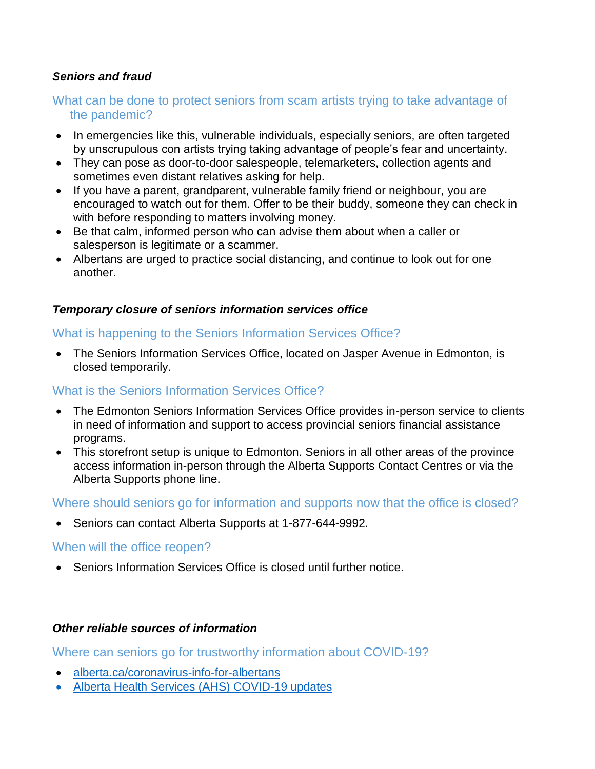## *Seniors and fraud*

## What can be done to protect seniors from scam artists trying to take advantage of the pandemic?

- In emergencies like this, vulnerable individuals, especially seniors, are often targeted by unscrupulous con artists trying taking advantage of people's fear and uncertainty.
- They can pose as door-to-door salespeople, telemarketers, collection agents and sometimes even distant relatives asking for help.
- If you have a parent, grandparent, vulnerable family friend or neighbour, you are encouraged to watch out for them. Offer to be their buddy, someone they can check in with before responding to matters involving money.
- Be that calm, informed person who can advise them about when a caller or salesperson is legitimate or a scammer.
- Albertans are urged to practice social distancing, and continue to look out for one another.

#### *Temporary closure of seniors information services office*

#### What is happening to the Seniors Information Services Office?

 The Seniors Information Services Office, located on Jasper Avenue in Edmonton, is closed temporarily.

#### What is the Seniors Information Services Office?

- The Edmonton Seniors Information Services Office provides in-person service to clients in need of information and support to access provincial seniors financial assistance programs.
- This storefront setup is unique to Edmonton. Seniors in all other areas of the province access information in-person through the Alberta Supports Contact Centres or via the Alberta Supports phone line.

Where should seniors go for information and supports now that the office is closed?

• Seniors can contact Alberta Supports at 1-877-644-9992.

#### When will the office reopen?

Seniors Information Services Office is closed until further notice.

#### *Other reliable sources of information*

Where can seniors go for trustworthy information about COVID-19?

- [alberta.ca/coronavirus-info-for-albertans](https://www.alberta.ca/coronavirus-info-for-albertans.aspx)
- [Alberta Health Services \(AHS\) COVID-19 updates](https://www.albertahealthservices.ca/topics/Page16944.aspx)